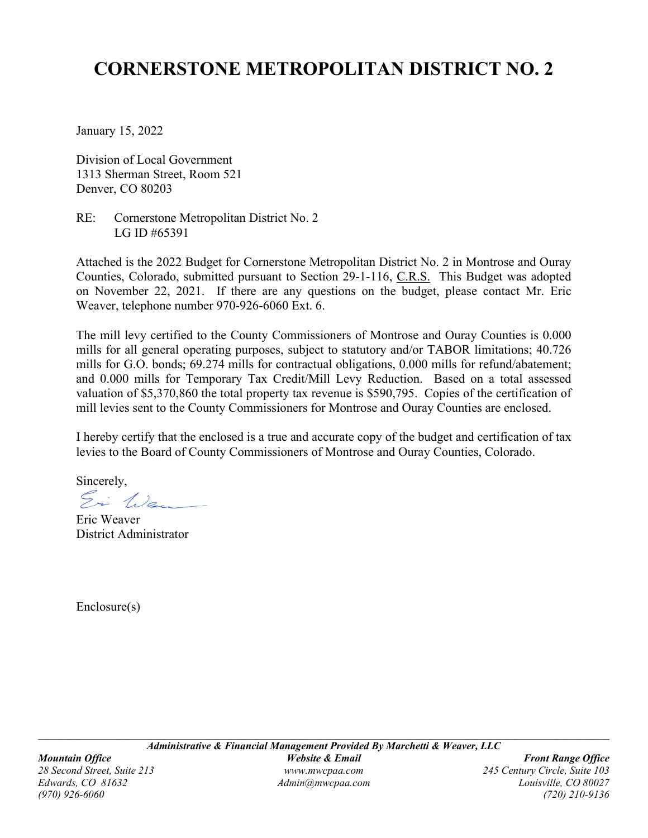# **CORNERSTONE METROPOLITAN DISTRICT NO. 2**

January 15, 2022

Division of Local Government 1313 Sherman Street, Room 521 Denver, CO 80203

RE: Cornerstone Metropolitan District No. 2 LG ID #65391

Attached is the 2022 Budget for Cornerstone Metropolitan District No. 2 in Montrose and Ouray Counties, Colorado, submitted pursuant to Section 29-1-116, C.R.S. This Budget was adopted on November 22, 2021. If there are any questions on the budget, please contact Mr. Eric Weaver, telephone number 970-926-6060 Ext. 6.

The mill levy certified to the County Commissioners of Montrose and Ouray Counties is 0.000 mills for all general operating purposes, subject to statutory and/or TABOR limitations; 40.726 mills for G.O. bonds; 69.274 mills for contractual obligations, 0.000 mills for refund/abatement; and 0.000 mills for Temporary Tax Credit/Mill Levy Reduction. Based on a total assessed valuation of \$5,370,860 the total property tax revenue is \$590,795. Copies of the certification of mill levies sent to the County Commissioners for Montrose and Ouray Counties are enclosed.

I hereby certify that the enclosed is a true and accurate copy of the budget and certification of tax levies to the Board of County Commissioners of Montrose and Ouray Counties, Colorado.

Sincerely,

Ei Wa

Eric Weaver District Administrator

Enclosure(s)

 $\mathcal{L}_\text{max} = \frac{1}{2} \sum_{i=1}^n \mathcal{L}_\text{max} = \frac{1}{2} \sum_{i=1}^n \mathcal{L}_\text{max} = \frac{1}{2} \sum_{i=1}^n \mathcal{L}_\text{max} = \frac{1}{2} \sum_{i=1}^n \mathcal{L}_\text{max} = \frac{1}{2} \sum_{i=1}^n \mathcal{L}_\text{max} = \frac{1}{2} \sum_{i=1}^n \mathcal{L}_\text{max} = \frac{1}{2} \sum_{i=1}^n \mathcal{L}_\text{max} = \frac{1}{2} \sum_{i=$ 

*(970) 926-6060 (720) 210-9136*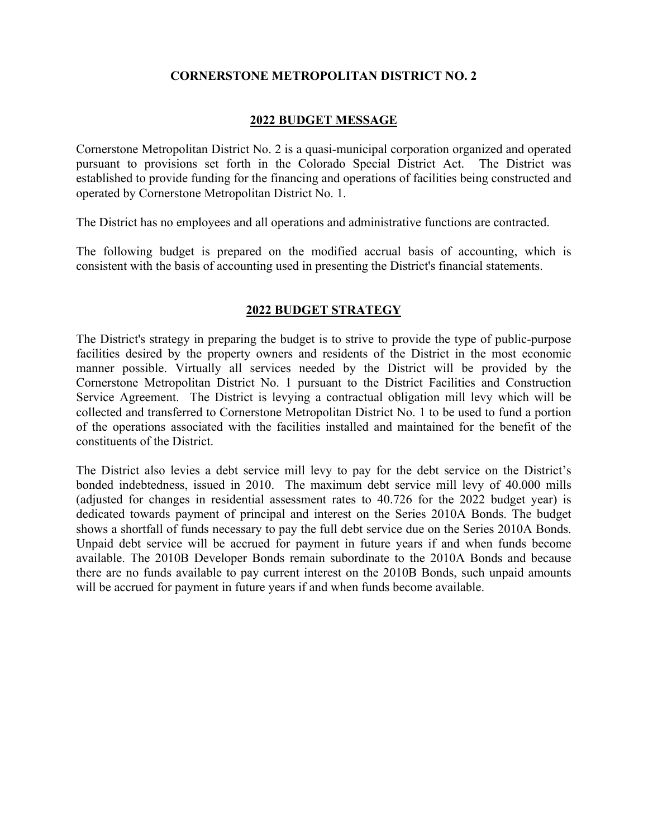### **CORNERSTONE METROPOLITAN DISTRICT NO. 2**

### **2022 BUDGET MESSAGE**

Cornerstone Metropolitan District No. 2 is a quasi-municipal corporation organized and operated pursuant to provisions set forth in the Colorado Special District Act. The District was established to provide funding for the financing and operations of facilities being constructed and operated by Cornerstone Metropolitan District No. 1.

The District has no employees and all operations and administrative functions are contracted.

The following budget is prepared on the modified accrual basis of accounting, which is consistent with the basis of accounting used in presenting the District's financial statements.

### **2022 BUDGET STRATEGY**

The District's strategy in preparing the budget is to strive to provide the type of public-purpose facilities desired by the property owners and residents of the District in the most economic manner possible. Virtually all services needed by the District will be provided by the Cornerstone Metropolitan District No. 1 pursuant to the District Facilities and Construction Service Agreement. The District is levying a contractual obligation mill levy which will be collected and transferred to Cornerstone Metropolitan District No. 1 to be used to fund a portion of the operations associated with the facilities installed and maintained for the benefit of the constituents of the District.

The District also levies a debt service mill levy to pay for the debt service on the District's bonded indebtedness, issued in 2010. The maximum debt service mill levy of 40.000 mills (adjusted for changes in residential assessment rates to 40.726 for the 2022 budget year) is dedicated towards payment of principal and interest on the Series 2010A Bonds. The budget shows a shortfall of funds necessary to pay the full debt service due on the Series 2010A Bonds. Unpaid debt service will be accrued for payment in future years if and when funds become available. The 2010B Developer Bonds remain subordinate to the 2010A Bonds and because there are no funds available to pay current interest on the 2010B Bonds, such unpaid amounts will be accrued for payment in future years if and when funds become available.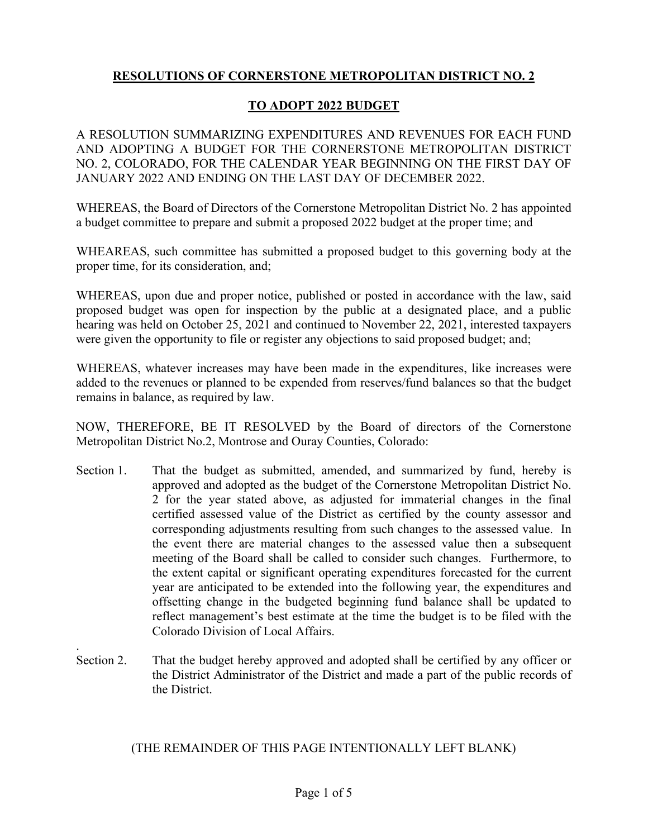# **RESOLUTIONS OF CORNERSTONE METROPOLITAN DISTRICT NO. 2**

### **TO ADOPT 2022 BUDGET**

A RESOLUTION SUMMARIZING EXPENDITURES AND REVENUES FOR EACH FUND AND ADOPTING A BUDGET FOR THE CORNERSTONE METROPOLITAN DISTRICT NO. 2, COLORADO, FOR THE CALENDAR YEAR BEGINNING ON THE FIRST DAY OF JANUARY 2022 AND ENDING ON THE LAST DAY OF DECEMBER 2022.

WHEREAS, the Board of Directors of the Cornerstone Metropolitan District No. 2 has appointed a budget committee to prepare and submit a proposed 2022 budget at the proper time; and

WHEAREAS, such committee has submitted a proposed budget to this governing body at the proper time, for its consideration, and;

WHEREAS, upon due and proper notice, published or posted in accordance with the law, said proposed budget was open for inspection by the public at a designated place, and a public hearing was held on October 25, 2021 and continued to November 22, 2021, interested taxpayers were given the opportunity to file or register any objections to said proposed budget; and;

WHEREAS, whatever increases may have been made in the expenditures, like increases were added to the revenues or planned to be expended from reserves/fund balances so that the budget remains in balance, as required by law.

NOW, THEREFORE, BE IT RESOLVED by the Board of directors of the Cornerstone Metropolitan District No.2, Montrose and Ouray Counties, Colorado:

- Section 1. That the budget as submitted, amended, and summarized by fund, hereby is approved and adopted as the budget of the Cornerstone Metropolitan District No. 2 for the year stated above, as adjusted for immaterial changes in the final certified assessed value of the District as certified by the county assessor and corresponding adjustments resulting from such changes to the assessed value. In the event there are material changes to the assessed value then a subsequent meeting of the Board shall be called to consider such changes. Furthermore, to the extent capital or significant operating expenditures forecasted for the current year are anticipated to be extended into the following year, the expenditures and offsetting change in the budgeted beginning fund balance shall be updated to reflect management's best estimate at the time the budget is to be filed with the Colorado Division of Local Affairs.
- Section 2. That the budget hereby approved and adopted shall be certified by any officer or the District Administrator of the District and made a part of the public records of the District.

.

(THE REMAINDER OF THIS PAGE INTENTIONALLY LEFT BLANK)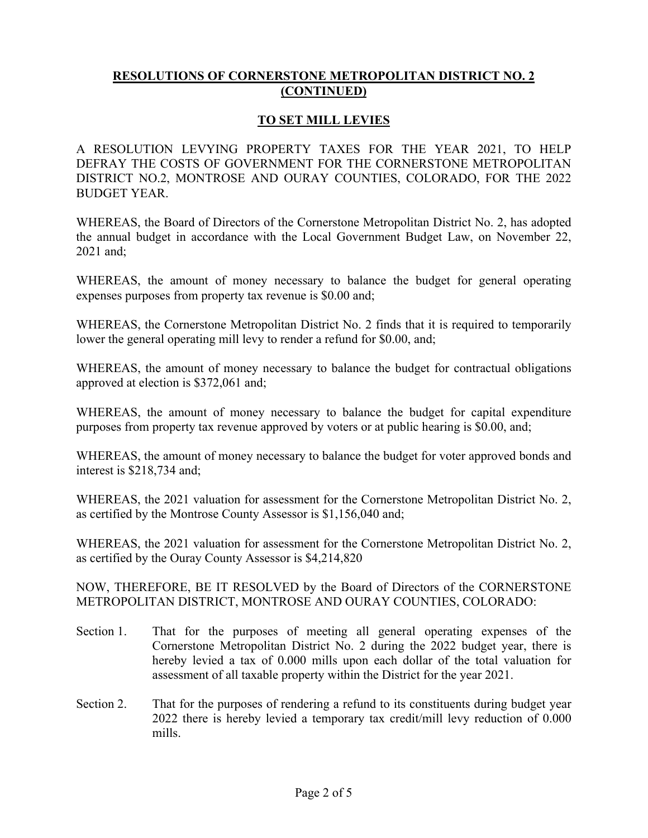### **TO SET MILL LEVIES**

A RESOLUTION LEVYING PROPERTY TAXES FOR THE YEAR 2021, TO HELP DEFRAY THE COSTS OF GOVERNMENT FOR THE CORNERSTONE METROPOLITAN DISTRICT NO.2, MONTROSE AND OURAY COUNTIES, COLORADO, FOR THE 2022 BUDGET YEAR.

WHEREAS, the Board of Directors of the Cornerstone Metropolitan District No. 2, has adopted the annual budget in accordance with the Local Government Budget Law, on November 22, 2021 and;

WHEREAS, the amount of money necessary to balance the budget for general operating expenses purposes from property tax revenue is \$0.00 and;

WHEREAS, the Cornerstone Metropolitan District No. 2 finds that it is required to temporarily lower the general operating mill levy to render a refund for \$0.00, and;

WHEREAS, the amount of money necessary to balance the budget for contractual obligations approved at election is \$372,061 and;

WHEREAS, the amount of money necessary to balance the budget for capital expenditure purposes from property tax revenue approved by voters or at public hearing is \$0.00, and;

WHEREAS, the amount of money necessary to balance the budget for voter approved bonds and interest is \$218,734 and;

WHEREAS, the 2021 valuation for assessment for the Cornerstone Metropolitan District No. 2, as certified by the Montrose County Assessor is \$1,156,040 and;

WHEREAS, the 2021 valuation for assessment for the Cornerstone Metropolitan District No. 2, as certified by the Ouray County Assessor is \$4,214,820

NOW, THEREFORE, BE IT RESOLVED by the Board of Directors of the CORNERSTONE METROPOLITAN DISTRICT, MONTROSE AND OURAY COUNTIES, COLORADO:

- Section 1. That for the purposes of meeting all general operating expenses of the Cornerstone Metropolitan District No. 2 during the 2022 budget year, there is hereby levied a tax of 0.000 mills upon each dollar of the total valuation for assessment of all taxable property within the District for the year 2021.
- Section 2. That for the purposes of rendering a refund to its constituents during budget year 2022 there is hereby levied a temporary tax credit/mill levy reduction of 0.000 mills.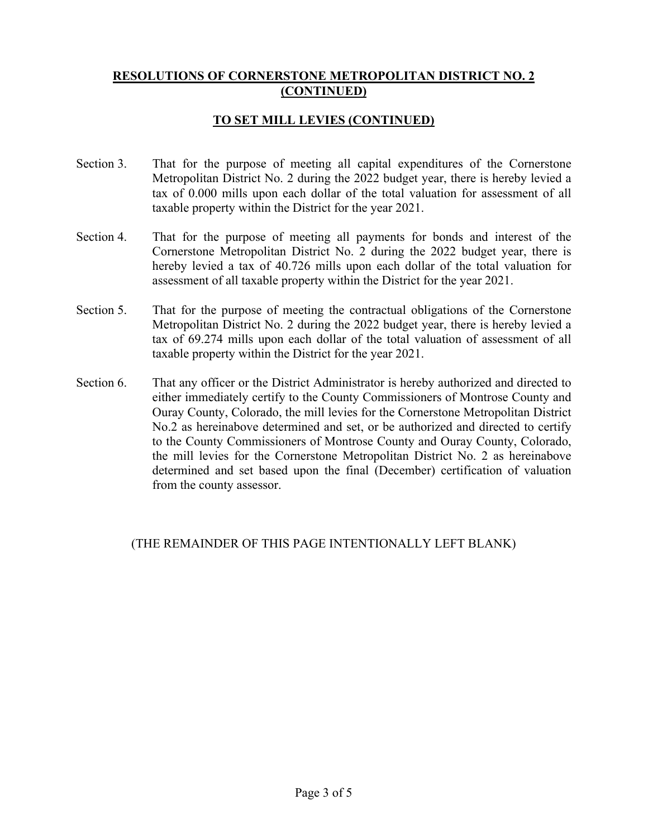### **TO SET MILL LEVIES (CONTINUED)**

- Section 3. That for the purpose of meeting all capital expenditures of the Cornerstone Metropolitan District No. 2 during the 2022 budget year, there is hereby levied a tax of 0.000 mills upon each dollar of the total valuation for assessment of all taxable property within the District for the year 2021.
- Section 4. That for the purpose of meeting all payments for bonds and interest of the Cornerstone Metropolitan District No. 2 during the 2022 budget year, there is hereby levied a tax of 40.726 mills upon each dollar of the total valuation for assessment of all taxable property within the District for the year 2021.
- Section 5. That for the purpose of meeting the contractual obligations of the Cornerstone Metropolitan District No. 2 during the 2022 budget year, there is hereby levied a tax of 69.274 mills upon each dollar of the total valuation of assessment of all taxable property within the District for the year 2021.
- Section 6. That any officer or the District Administrator is hereby authorized and directed to either immediately certify to the County Commissioners of Montrose County and Ouray County, Colorado, the mill levies for the Cornerstone Metropolitan District No.2 as hereinabove determined and set, or be authorized and directed to certify to the County Commissioners of Montrose County and Ouray County, Colorado, the mill levies for the Cornerstone Metropolitan District No. 2 as hereinabove determined and set based upon the final (December) certification of valuation from the county assessor.

### (THE REMAINDER OF THIS PAGE INTENTIONALLY LEFT BLANK)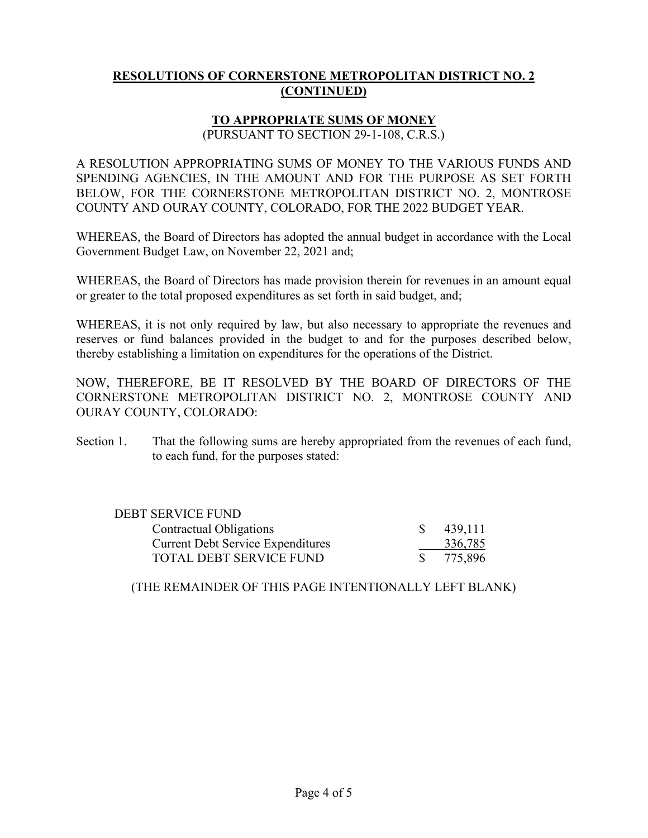# **TO APPROPRIATE SUMS OF MONEY**

(PURSUANT TO SECTION 29-1-108, C.R.S.)

A RESOLUTION APPROPRIATING SUMS OF MONEY TO THE VARIOUS FUNDS AND SPENDING AGENCIES, IN THE AMOUNT AND FOR THE PURPOSE AS SET FORTH BELOW, FOR THE CORNERSTONE METROPOLITAN DISTRICT NO. 2, MONTROSE COUNTY AND OURAY COUNTY, COLORADO, FOR THE 2022 BUDGET YEAR.

WHEREAS, the Board of Directors has adopted the annual budget in accordance with the Local Government Budget Law, on November 22, 2021 and;

WHEREAS, the Board of Directors has made provision therein for revenues in an amount equal or greater to the total proposed expenditures as set forth in said budget, and;

WHEREAS, it is not only required by law, but also necessary to appropriate the revenues and reserves or fund balances provided in the budget to and for the purposes described below, thereby establishing a limitation on expenditures for the operations of the District.

NOW, THEREFORE, BE IT RESOLVED BY THE BOARD OF DIRECTORS OF THE CORNERSTONE METROPOLITAN DISTRICT NO. 2, MONTROSE COUNTY AND OURAY COUNTY, COLORADO:

Section 1. That the following sums are hereby appropriated from the revenues of each fund, to each fund, for the purposes stated:

| DEBT SERVICE FUND                        |         |
|------------------------------------------|---------|
| Contractual Obligations                  | 439,111 |
| <b>Current Debt Service Expenditures</b> | 336,785 |
| TOTAL DEBT SERVICE FUND                  | 775,896 |

(THE REMAINDER OF THIS PAGE INTENTIONALLY LEFT BLANK)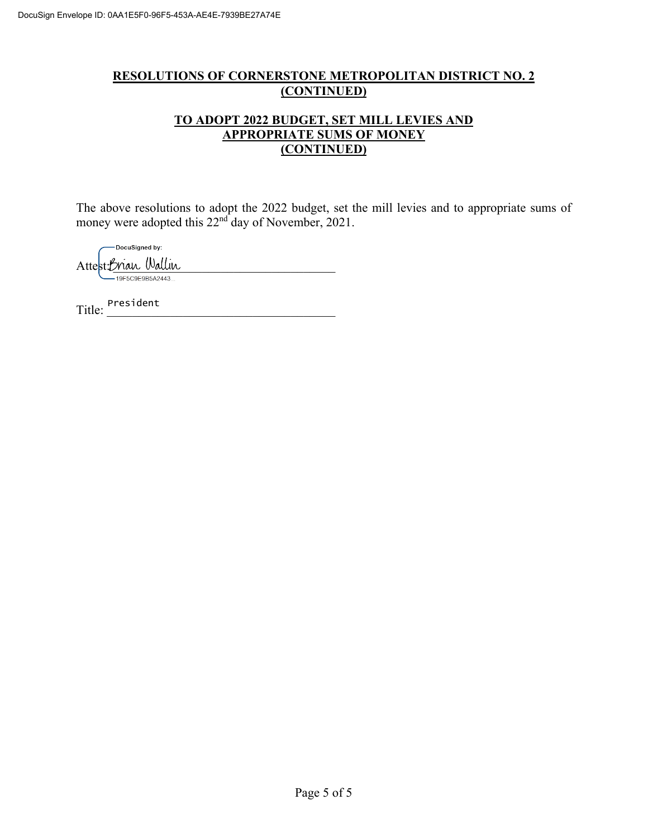### **TO ADOPT 2022 BUDGET, SET MILL LEVIES AND APPROPRIATE SUMS OF MONEY (CONTINUED)**

The above resolutions to adopt the 2022 budget, set the mill levies and to appropriate sums of money were adopted this 22<sup>nd</sup> day of November, 2021.

-DocuSigned by:

Attest: Brian Wallin

Title: President<br>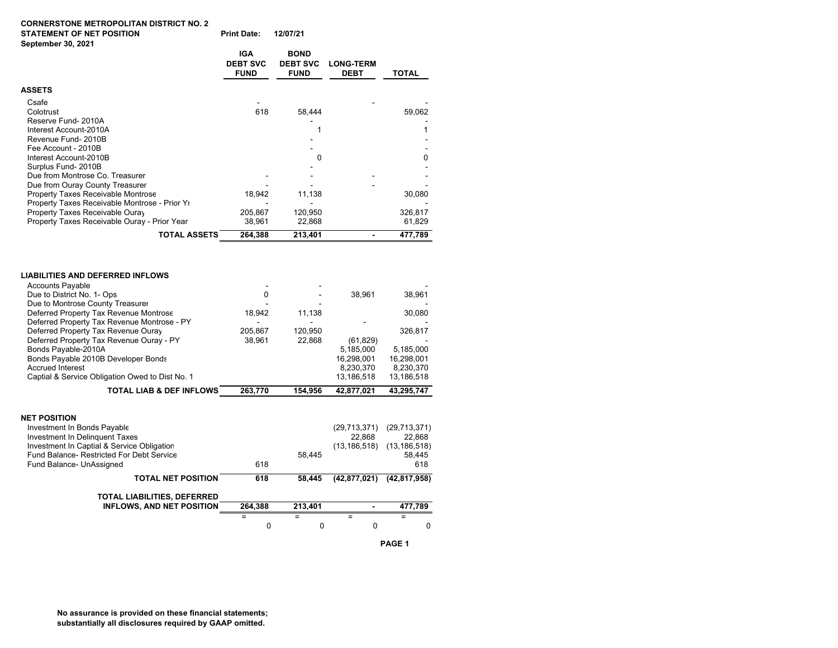#### **CORNERSTONE METROPOLITAN DISTRICT NO. 2 STATEMENT OF NET POSITION Print Date: 12/07/21**

| <b>Print Date:</b> | 12/07/2 |
|--------------------|---------|
|--------------------|---------|

| September 30, 2021                                                                                                               |                                              |                                               |                                 |                   |  |
|----------------------------------------------------------------------------------------------------------------------------------|----------------------------------------------|-----------------------------------------------|---------------------------------|-------------------|--|
|                                                                                                                                  | <b>IGA</b><br><b>DEBT SVC</b><br><b>FUND</b> | <b>BOND</b><br><b>DEBT SVC</b><br><b>FUND</b> | <b>LONG-TERM</b><br><b>DEBT</b> | <b>TOTAL</b>      |  |
| <b>ASSETS</b>                                                                                                                    |                                              |                                               |                                 |                   |  |
| Csafe<br>Colotrust<br>Reserve Fund-2010A                                                                                         | 618                                          | 58,444                                        |                                 | 59,062            |  |
| Interest Account-2010A<br>Revenue Fund- 2010B<br>Fee Account - 2010B                                                             |                                              |                                               |                                 | 1                 |  |
| Interest Account-2010B<br>Surplus Fund-2010B<br>Due from Montrose Co. Treasurer                                                  |                                              | 0                                             |                                 | 0                 |  |
| Due from Ouray County Treasurer<br>Property Taxes Receivable Montrose                                                            | 18,942                                       | 11,138                                        |                                 | 30,080            |  |
| Property Taxes Receivable Montrose - Prior Yi<br>Property Taxes Receivable Ouray<br>Property Taxes Receivable Ouray - Prior Year | 205.867<br>38,961                            | 120.950<br>22,868                             |                                 | 326.817<br>61,829 |  |
| <b>TOTAL ASSETS</b>                                                                                                              | 264,388                                      | 213,401                                       |                                 | 477,789           |  |
| <b>LIABILITIES AND DEFERRED INFLOWS</b><br><b>Accounts Payable</b>                                                               |                                              |                                               |                                 |                   |  |
| Due to District No. 1- Ops                                                                                                       | 0                                            |                                               | 38,961                          | 38,961            |  |
| Due to Montrose County Treasurer<br>Deferred Property Tax Revenue Montrose<br>Deferred Property Tax Revenue Montrose - PY        | 18,942                                       | 11,138                                        |                                 | 30,080            |  |

| Deferred Property Tax Revenue Montrose - PY                                                                                                                                                                 |         |         |                                            |                                                           |
|-------------------------------------------------------------------------------------------------------------------------------------------------------------------------------------------------------------|---------|---------|--------------------------------------------|-----------------------------------------------------------|
| Deferred Property Tax Revenue Ouray                                                                                                                                                                         | 205,867 | 120,950 |                                            | 326,817                                                   |
| Deferred Property Tax Revenue Ouray - PY                                                                                                                                                                    | 38,961  | 22,868  | (61, 829)                                  |                                                           |
| Bonds Payable-2010A                                                                                                                                                                                         |         |         | 5,185,000                                  | 5,185,000                                                 |
| Bonds Payable 2010B Developer Bonds                                                                                                                                                                         |         |         | 16,298,001                                 | 16,298,001                                                |
| <b>Accrued Interest</b>                                                                                                                                                                                     |         |         | 8,230,370                                  | 8,230,370                                                 |
| Captial & Service Obligation Owed to Dist No. 1                                                                                                                                                             |         |         | 13,186,518                                 | 13,186,518                                                |
| <b>TOTAL LIAB &amp; DEF INFLOWS</b>                                                                                                                                                                         | 263.770 | 154.956 | 42,877,021                                 | 43,295,747                                                |
| <b>NET POSITION</b><br>Investment In Bonds Payable<br>Investment In Delinguent Taxes<br>Investment In Captial & Service Obligation<br>Fund Balance- Restricted For Debt Service<br>Fund Balance- UnAssigned | 618     | 58,445  | (29, 713, 371)<br>22.868<br>(13, 186, 518) | (29,713,371)<br>22,868<br>(13, 186, 518)<br>58,445<br>618 |
| <b>TOTAL NET POSITION</b>                                                                                                                                                                                   | 618     | 58,445  | (42, 877, 021)                             | (42, 817, 958)                                            |
| TOTAL LIABILITIES, DEFERRED                                                                                                                                                                                 |         |         |                                            |                                                           |
| <b>INFLOWS, AND NET POSITION</b>                                                                                                                                                                            | 264,388 | 213,401 |                                            | 477,789                                                   |
|                                                                                                                                                                                                             | =       | =       | =                                          | =                                                         |
|                                                                                                                                                                                                             | 0       | 0       | 0                                          | $\Omega$                                                  |

**PAGE 1**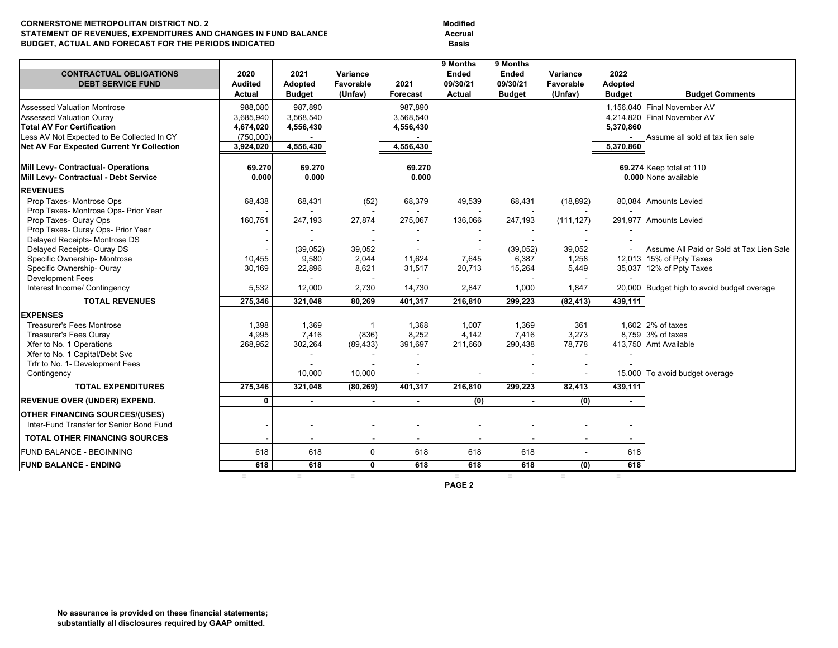#### **CORNERSTONE METROPOLITAN DISTRICT NO. 2 STATEMENT OF REVENUES, EXPENDITURES AND CHANGES IN FUND BALANCE**  $\qquad$  **Accrual BUDGET, ACTUAL AND FORECAST FOR THE PERIODS INDICATED FOR ASSIS BASIS**

**Modified** 

| <b>CONTRACTUAL OBLIGATIONS</b>                   | 2020                            | 2021                     | Variance             |                          | 9 Months<br>Ended    | 9 Months<br>Ended         | Variance             | 2022                     |                                            |  |
|--------------------------------------------------|---------------------------------|--------------------------|----------------------|--------------------------|----------------------|---------------------------|----------------------|--------------------------|--------------------------------------------|--|
| <b>DEBT SERVICE FUND</b>                         | <b>Audited</b><br><b>Actual</b> | Adopted<br><b>Budget</b> | Favorable<br>(Unfav) | 2021<br>Forecast         | 09/30/21<br>Actual   | 09/30/21<br><b>Budget</b> | Favorable<br>(Unfav) | Adopted<br><b>Budget</b> | <b>Budget Comments</b>                     |  |
| Assessed Valuation Montrose                      | 988.080                         | 987.890                  |                      | 987.890                  |                      |                           |                      |                          | 1.156.040 Final November AV                |  |
| Assessed Valuation Ouray                         | 3,685,940                       | 3,568,540                |                      | 3,568,540                |                      |                           |                      |                          | 4,214,820 Final November AV                |  |
| <b>Total AV For Certification</b>                | 4,674,020                       | 4,556,430                |                      | 4,556,430                |                      |                           |                      | 5,370,860                |                                            |  |
| Less AV Not Expected to Be Collected In CY       | (750.000)                       |                          |                      |                          |                      |                           |                      |                          | Assume all sold at tax lien sale           |  |
| <b>Net AV For Expected Current Yr Collection</b> | 3,924,020                       | 4,556,430                |                      | 4,556,430                |                      |                           |                      | 5.370.860                |                                            |  |
|                                                  |                                 |                          |                      |                          |                      |                           |                      |                          |                                            |  |
| Mill Levy- Contractual- Operations               | 69.270                          | 69.270                   |                      | 69.270                   |                      |                           |                      |                          | 69.274 Keep total at 110                   |  |
| Mill Levy- Contractual - Debt Service            | 0.000                           | 0.000                    |                      | 0.000                    |                      |                           |                      |                          | 0.000 None available                       |  |
| <b>REVENUES</b>                                  |                                 |                          |                      |                          |                      |                           |                      |                          |                                            |  |
| Prop Taxes- Montrose Ops                         | 68,438                          | 68,431                   | (52)                 | 68,379                   | 49,539               | 68,431                    | (18, 892)            |                          | 80,084 Amounts Levied                      |  |
| Prop Taxes- Montrose Ops- Prior Year             |                                 | $\sim$                   |                      |                          |                      |                           |                      |                          |                                            |  |
| Prop Taxes- Ouray Ops                            | 160,751                         | 247,193                  | 27,874               | 275,067                  | 136,066              | 247,193                   | (111, 127)           |                          | 291,977 Amounts Levied                     |  |
| Prop Taxes- Ouray Ops- Prior Year                |                                 |                          |                      |                          |                      |                           |                      |                          |                                            |  |
| Delayed Receipts- Montrose DS                    |                                 | ÷                        |                      |                          |                      |                           |                      |                          |                                            |  |
| Delayed Receipts- Ouray DS                       |                                 | (39,052)                 | 39,052               |                          |                      | (39,052)                  | 39,052               |                          | Assume All Paid or Sold at Tax Lien Sale   |  |
| Specific Ownership- Montrose                     | 10.455                          | 9,580                    | 2,044                | 11,624                   | 7,645                | 6,387                     | 1,258                |                          | 12,013 15% of Ppty Taxes                   |  |
| Specific Ownership- Ouray                        | 30,169                          | 22,896                   | 8,621                | 31,517                   | 20,713               | 15,264                    | 5,449                |                          | 35,037 12% of Ppty Taxes                   |  |
| <b>Development Fees</b>                          |                                 | $\blacksquare$           |                      |                          |                      |                           |                      |                          |                                            |  |
| Interest Income/ Contingency                     | 5,532                           | 12,000                   | 2,730                | 14,730                   | 2,847                | 1,000                     | 1,847                |                          | 20,000 Budget high to avoid budget overage |  |
| <b>TOTAL REVENUES</b>                            | 275,346                         | 321.048                  | 80,269               | 401,317                  | 216,810              | 299,223                   | (82, 413)            | 439,111                  |                                            |  |
| <b>EXPENSES</b>                                  |                                 |                          |                      |                          |                      |                           |                      |                          |                                            |  |
| <b>Treasurer's Fees Montrose</b>                 | 1,398                           | 1,369                    | $\overline{1}$       | 1,368                    | 1,007                | 1,369                     | 361                  |                          | 1.602 2% of taxes                          |  |
| Treasurer's Fees Ouray                           | 4,995                           | 7,416                    | (836)                | 8,252                    | 4,142                | 7,416                     | 3,273                |                          | 8.759 3% of taxes                          |  |
| Xfer to No. 1 Operations                         | 268,952                         | 302,264                  | (89, 433)            | 391,697                  | 211,660              | 290,438                   | 78,778               |                          | 413,750 Amt Available                      |  |
| Xfer to No. 1 Capital/Debt Svc                   |                                 | $\overline{\phantom{a}}$ |                      |                          |                      |                           |                      |                          |                                            |  |
| Trfr to No. 1- Development Fees                  |                                 | $\overline{\phantom{a}}$ |                      |                          |                      |                           |                      |                          |                                            |  |
| Contingency                                      |                                 | 10,000                   | 10,000               |                          |                      |                           |                      |                          | 15,000 To avoid budget overage             |  |
| <b>TOTAL EXPENDITURES</b>                        | 275,346                         | 321,048                  | (80, 269)            | 401,317                  | 216,810              | 299,223                   | 82,413               | 439,111                  |                                            |  |
| <b>REVENUE OVER (UNDER) EXPEND.</b>              | 0                               | $\blacksquare$           | $\blacksquare$       | $\blacksquare$           | (0)                  | $\overline{a}$            | (0)                  | $\blacksquare$           |                                            |  |
| <b>OTHER FINANCING SOURCES/(USES)</b>            |                                 |                          |                      |                          |                      |                           |                      |                          |                                            |  |
| Inter-Fund Transfer for Senior Bond Fund         |                                 | $\overline{a}$           |                      | $\overline{\phantom{a}}$ |                      |                           |                      | $\blacksquare$           |                                            |  |
| <b>TOTAL OTHER FINANCING SOURCES</b>             |                                 | $\overline{\phantom{0}}$ | $\blacksquare$       | $\blacksquare$           | $\blacksquare$       | $\overline{\phantom{a}}$  | $\blacksquare$       | $\overline{\phantom{0}}$ |                                            |  |
| FUND BALANCE - BEGINNING                         | 618                             | 618                      | 0                    | 618                      | 618                  | 618                       |                      | 618                      |                                            |  |
| <b>FUND BALANCE - ENDING</b>                     | 618                             | 618                      | 0                    | 618                      | 618                  | 618                       | (0)                  | 618                      |                                            |  |
|                                                  | $=$                             | $=$                      | $=$                  |                          | $=$<br><b>DACE 2</b> | $=$                       | $=$                  | $=$                      |                                            |  |

**PAGE 2**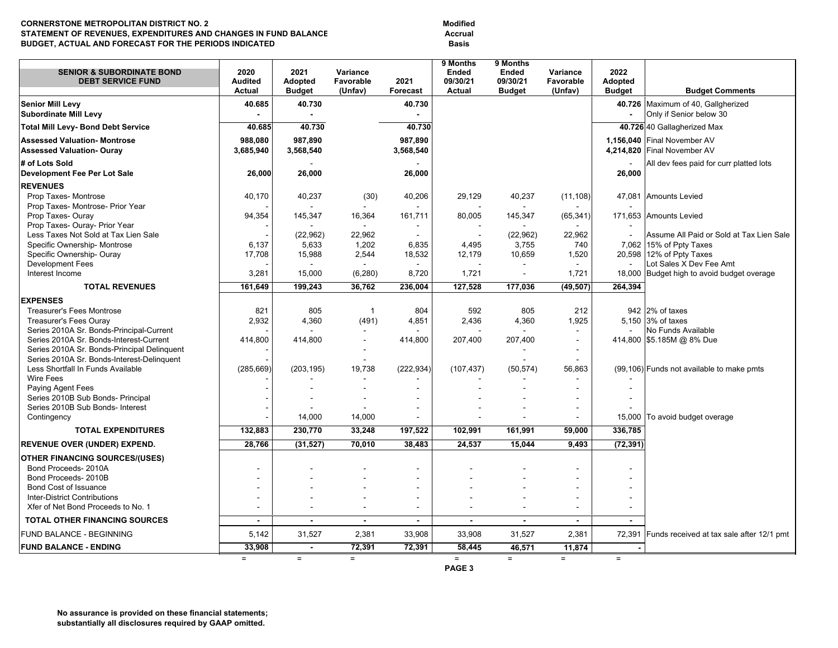#### **CORNERSTONE METROPOLITAN DISTRICT NO. 2 ModifiedSTATEMENT OF REVENUES, EXPENDITURES AND CHANGES IN FUND BALANCE BUDGET, ACTUAL AND FORECAST FOR THE PERIODS INDICATED FOR ASSISTIONS OF A RESISTION CONSUMING A BASIS**

Accrual

| <b>SENIOR &amp; SUBORDINATE BOND</b><br><b>DEBT SERVICE FUND</b>                | 2020<br><b>Audited</b> | 2021<br>Adopted | Variance<br>Favorable    | 2021                     | 9 Months<br><b>Ended</b><br>09/30/21 | 9 Months<br>Ended<br>09/30/21 | Variance<br>Favorable | 2022<br><b>Adopted</b> |                                                        |
|---------------------------------------------------------------------------------|------------------------|-----------------|--------------------------|--------------------------|--------------------------------------|-------------------------------|-----------------------|------------------------|--------------------------------------------------------|
|                                                                                 | Actual                 | <b>Budget</b>   | (Unfav)                  | Forecast                 | Actual                               | <b>Budget</b>                 | (Unfav)               | <b>Budget</b>          | <b>Budget Comments</b>                                 |
| <b>Senior Mill Levy</b><br><b>Subordinate Mill Levy</b>                         | 40.685                 | 40.730          |                          | 40.730                   |                                      |                               |                       | 40.726                 | Maximum of 40, Gallgherized<br>Only if Senior below 30 |
| <b>Total Mill Levy- Bond Debt Service</b>                                       | 40.685                 | 40.730          |                          | 40.730                   |                                      |                               |                       |                        | 40.726 40 Gallagherized Max                            |
| <b>Assessed Valuation- Montrose</b>                                             | 988,080                | 987,890         |                          | 987,890                  |                                      |                               |                       |                        | 1,156,040 Final November AV                            |
| <b>Assessed Valuation- Ouray</b>                                                | 3,685,940              | 3,568,540       |                          | 3,568,540                |                                      |                               |                       |                        | 4,214,820 Final November AV                            |
| # of Lots Sold                                                                  |                        |                 |                          |                          |                                      |                               |                       |                        | All dev fees paid for curr platted lots                |
| <b>Development Fee Per Lot Sale</b>                                             | 26,000                 | 26,000          |                          | 26,000                   |                                      |                               |                       | 26,000                 |                                                        |
| <b>REVENUES</b>                                                                 |                        |                 |                          |                          |                                      |                               |                       |                        |                                                        |
| Prop Taxes- Montrose                                                            | 40,170                 | 40,237          | (30)                     | 40,206                   | 29,129                               | 40,237                        | (11, 108)             |                        | 47,081 Amounts Levied                                  |
| Prop Taxes- Montrose- Prior Year                                                |                        |                 | $\sim$                   |                          |                                      |                               |                       |                        |                                                        |
| Prop Taxes-Ouray                                                                | 94,354                 | 145,347         | 16,364                   | 161,711                  | 80,005                               | 145,347                       | (65, 341)             |                        | 171,653 Amounts Levied                                 |
| Prop Taxes- Ouray- Prior Year                                                   |                        |                 | $\sim$                   |                          |                                      |                               |                       |                        |                                                        |
| Less Taxes Not Sold at Tax Lien Sale                                            |                        | (22,962)        | 22,962                   |                          | $\overline{\phantom{a}}$             | (22,962)                      | 22,962                |                        | Assume All Paid or Sold at Tax Lien Sale               |
| Specific Ownership- Montrose                                                    | 6,137                  | 5,633           | 1,202                    | 6,835                    | 4,495                                | 3,755                         | 740                   | 7,062                  | 15% of Ppty Taxes                                      |
| Specific Ownership- Ouray                                                       | 17,708                 | 15,988          | 2,544                    | 18,532                   | 12,179                               | 10,659                        | 1,520                 |                        | 20,598 12% of Ppty Taxes                               |
| <b>Development Fees</b>                                                         |                        |                 |                          |                          |                                      |                               |                       |                        | Lot Sales X Dev Fee Amt                                |
| Interest Income                                                                 | 3,281                  | 15,000          | (6, 280)                 | 8,720                    | 1,721                                | $\blacksquare$                | 1,721                 |                        | 18,000 Budget high to avoid budget overage             |
| <b>TOTAL REVENUES</b>                                                           | 161,649                | 199.243         | 36,762                   | 236,004                  | 127,528                              | 177,036                       | (49, 507)             | 264,394                |                                                        |
| <b>EXPENSES</b>                                                                 |                        |                 |                          |                          |                                      |                               |                       |                        |                                                        |
| <b>Treasurer's Fees Montrose</b>                                                | 821                    | 805             | $\overline{1}$           | 804                      | 592                                  | 805                           | 212                   |                        | 942 2% of taxes                                        |
| <b>Treasurer's Fees Ouray</b>                                                   | 2,932                  | 4,360           | (491)                    | 4,851                    | 2,436                                | 4,360                         | 1,925                 |                        | 5.150 3% of taxes                                      |
| Series 2010A Sr. Bonds-Principal-Current                                        |                        |                 |                          |                          |                                      |                               | $\sim$                |                        | No Funds Available                                     |
| Series 2010A Sr. Bonds-Interest-Current                                         | 414,800                | 414,800         | $\sim$                   | 414,800                  | 207,400                              | 207,400                       |                       |                        | 414,800 \$5.185M @ 8% Due                              |
| Series 2010A Sr. Bonds-Principal Delinquent                                     |                        |                 |                          |                          |                                      |                               |                       |                        |                                                        |
| Series 2010A Sr. Bonds-Interest-Delinquent<br>Less Shortfall In Funds Available |                        |                 |                          |                          |                                      |                               |                       |                        |                                                        |
| Wire Fees                                                                       | (285, 669)             | (203, 195)      | 19,738<br>$\sim$         | (222, 934)               | (107, 437)                           | (50, 574)                     | 56,863                |                        | (99,106) Funds not available to make pmts              |
| Paying Agent Fees                                                               |                        |                 |                          | $\overline{\phantom{a}}$ |                                      |                               |                       | $\overline{a}$         |                                                        |
| Series 2010B Sub Bonds- Principal                                               |                        |                 | $\sim$                   | $\blacksquare$           |                                      |                               |                       | $\ddot{\phantom{a}}$   |                                                        |
| Series 2010B Sub Bonds- Interest                                                |                        |                 |                          |                          |                                      |                               |                       |                        |                                                        |
| Contingency                                                                     |                        | 14,000          | 14,000                   |                          |                                      |                               |                       | 15,000                 | To avoid budget overage                                |
| <b>TOTAL EXPENDITURES</b>                                                       | 132.883                | 230,770         | 33,248                   | 197,522                  | 102,991                              | 161,991                       | 59,000                | 336,785                |                                                        |
| <b>REVENUE OVER (UNDER) EXPEND.</b>                                             | 28,766                 | (31, 527)       | 70,010                   | 38,483                   | 24,537                               | 15,044                        | 9,493                 | (72, 391)              |                                                        |
| <b>OTHER FINANCING SOURCES/(USES)</b>                                           |                        |                 |                          |                          |                                      |                               |                       |                        |                                                        |
| Bond Proceeds- 2010A                                                            | L.                     |                 |                          | ÷                        |                                      |                               |                       |                        |                                                        |
| Bond Proceeds- 2010B                                                            |                        |                 |                          |                          |                                      |                               |                       |                        |                                                        |
| <b>Bond Cost of Issuance</b>                                                    |                        |                 |                          | $\overline{a}$           |                                      |                               |                       |                        |                                                        |
| <b>Inter-District Contributions</b>                                             |                        |                 |                          | $\blacksquare$           |                                      |                               |                       |                        |                                                        |
| Xfer of Net Bond Proceeds to No. 1                                              | $\blacksquare$         |                 | $\sim$                   | $\blacksquare$           |                                      | L,                            |                       | $\overline{a}$         |                                                        |
| TOTAL OTHER FINANCING SOURCES                                                   | $\blacksquare$         |                 | $\overline{\phantom{a}}$ | $\blacksquare$           | $\blacksquare$                       | $\blacksquare$                |                       | $\blacksquare$         |                                                        |
| <b>FUND BALANCE - BEGINNING</b>                                                 | 5,142                  | 31,527          | 2,381                    | 33,908                   | 33,908                               | 31,527                        | 2,381                 |                        | 72,391 Funds received at tax sale after 12/1 pmt       |
| <b>FUND BALANCE - ENDING</b>                                                    | 33,908                 | $\blacksquare$  | 72,391                   | 72,391                   | 58,445                               | 46,571                        | 11,874                |                        |                                                        |
|                                                                                 | $=$                    | $=$             | $=$                      |                          | $=$                                  | $=$                           | $=$                   | $=$                    |                                                        |
|                                                                                 |                        |                 |                          |                          | PAGE <sub>3</sub>                    |                               |                       |                        |                                                        |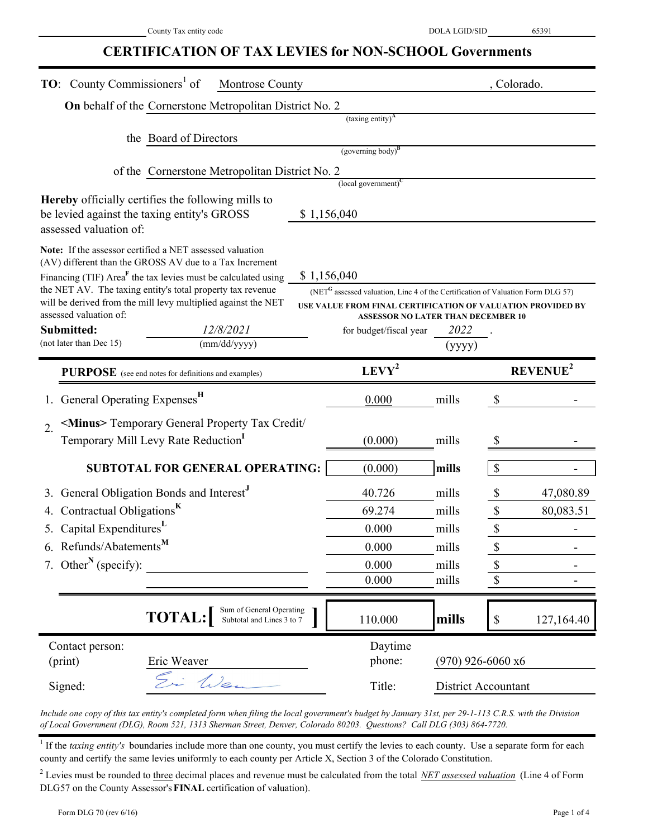### **CERTIFICATION OF TAX LEVIES for NON-SCHOOL Governments**

| <b>TO:</b> County Commissioners <sup>1</sup> of<br>Montrose County                                                                                                                                                                                                                                                                                                                                                    |  | , Colorado.                                                                                                                                                                       |                     |                                                             |  |
|-----------------------------------------------------------------------------------------------------------------------------------------------------------------------------------------------------------------------------------------------------------------------------------------------------------------------------------------------------------------------------------------------------------------------|--|-----------------------------------------------------------------------------------------------------------------------------------------------------------------------------------|---------------------|-------------------------------------------------------------|--|
| On behalf of the Cornerstone Metropolitan District No. 2                                                                                                                                                                                                                                                                                                                                                              |  |                                                                                                                                                                                   |                     |                                                             |  |
|                                                                                                                                                                                                                                                                                                                                                                                                                       |  | $\overline{\text{(taving entity)}}^A$                                                                                                                                             |                     |                                                             |  |
| the Board of Directors                                                                                                                                                                                                                                                                                                                                                                                                |  |                                                                                                                                                                                   |                     |                                                             |  |
|                                                                                                                                                                                                                                                                                                                                                                                                                       |  | $(governing body)^B$                                                                                                                                                              |                     |                                                             |  |
| of the Cornerstone Metropolitan District No. 2                                                                                                                                                                                                                                                                                                                                                                        |  | $\left($ local government $\right)^{C}$                                                                                                                                           |                     |                                                             |  |
| Hereby officially certifies the following mills to<br>be levied against the taxing entity's GROSS<br>assessed valuation of:                                                                                                                                                                                                                                                                                           |  | \$1,156,040                                                                                                                                                                       |                     |                                                             |  |
| Note: If the assessor certified a NET assessed valuation<br>(AV) different than the GROSS AV due to a Tax Increment<br>Financing (TIF) $AreaF$ the tax levies must be calculated using<br>the NET AV. The taxing entity's total property tax revenue<br>will be derived from the mill levy multiplied against the NET<br>assessed valuation of:<br>12/8/2021<br>Submitted:<br>(not later than Dec 15)<br>(mm/dd/yyyy) |  | \$1,156,040<br>(NET <sup>G</sup> assessed valuation, Line 4 of the Certification of Valuation Form DLG 57)<br><b>ASSESSOR NO LATER THAN DECEMBER 10</b><br>for budget/fiscal year | 2022<br>(yyyy)      | USE VALUE FROM FINAL CERTIFICATION OF VALUATION PROVIDED BY |  |
| PURPOSE (see end notes for definitions and examples)                                                                                                                                                                                                                                                                                                                                                                  |  | $LEVY^2$                                                                                                                                                                          |                     | <b>REVENUE</b> <sup>2</sup>                                 |  |
| General Operating Expenses <sup>H</sup>                                                                                                                                                                                                                                                                                                                                                                               |  | 0.000                                                                                                                                                                             | mills               | \$                                                          |  |
| <minus> Temporary General Property Tax Credit/<br/><math>\overline{2}</math>.<br/>Temporary Mill Levy Rate Reduction</minus>                                                                                                                                                                                                                                                                                          |  | (0.000)                                                                                                                                                                           | mills               | S                                                           |  |
| <b>SUBTOTAL FOR GENERAL OPERATING:</b>                                                                                                                                                                                                                                                                                                                                                                                |  | (0.000)                                                                                                                                                                           | mills               | $\boldsymbol{\mathsf{S}}$                                   |  |
| General Obligation Bonds and Interest <sup>J</sup>                                                                                                                                                                                                                                                                                                                                                                    |  | 40.726                                                                                                                                                                            | mills               | \$<br>47,080.89                                             |  |
| Contractual Obligations <sup>K</sup>                                                                                                                                                                                                                                                                                                                                                                                  |  | 69.274                                                                                                                                                                            | mills               | \$<br>80,083.51                                             |  |
| 5. Capital ExpendituresL                                                                                                                                                                                                                                                                                                                                                                                              |  | 0.000                                                                                                                                                                             | mills               | \$                                                          |  |
| 6. Refunds/Abatements <sup>M</sup>                                                                                                                                                                                                                                                                                                                                                                                    |  | 0.000                                                                                                                                                                             | mills               | \$                                                          |  |
| 7. Other <sup>N</sup> (specify):                                                                                                                                                                                                                                                                                                                                                                                      |  | 0.000                                                                                                                                                                             | mills               | \$                                                          |  |
|                                                                                                                                                                                                                                                                                                                                                                                                                       |  | 0.000                                                                                                                                                                             | mills               | \$                                                          |  |
| Sum of General Operating<br><b>TOTAL:</b><br>Subtotal and Lines 3 to 7                                                                                                                                                                                                                                                                                                                                                |  | 110.000                                                                                                                                                                           | mills               | 127,164.40<br>$\$$                                          |  |
| Contact person:                                                                                                                                                                                                                                                                                                                                                                                                       |  | Daytime                                                                                                                                                                           |                     |                                                             |  |
| (print)<br>Eric Weaver                                                                                                                                                                                                                                                                                                                                                                                                |  | phone:                                                                                                                                                                            | $(970)$ 926-6060 x6 |                                                             |  |
| Ei Wen<br>Signed:                                                                                                                                                                                                                                                                                                                                                                                                     |  | Title:                                                                                                                                                                            | District Accountant |                                                             |  |

*Include one copy of this tax entity's completed form when filing the local government's budget by January 31st, per 29-1-113 C.R.S. with the Division of Local Government (DLG), Room 521, 1313 Sherman Street, Denver, Colorado 80203. Questions? Call DLG (303) 864-7720.*

<sup>1</sup> If the *taxing entity's* boundaries include more than one county, you must certify the levies to each county. Use a separate form for each county and certify the same levies uniformly to each county per Article X, Section 3 of the Colorado Constitution.

<sup>2</sup> Levies must be rounded to three decimal places and revenue must be calculated from the total *NET assessed valuation* (Line 4 of Form DLG57 on the County Assessor's **FINAL** certification of valuation).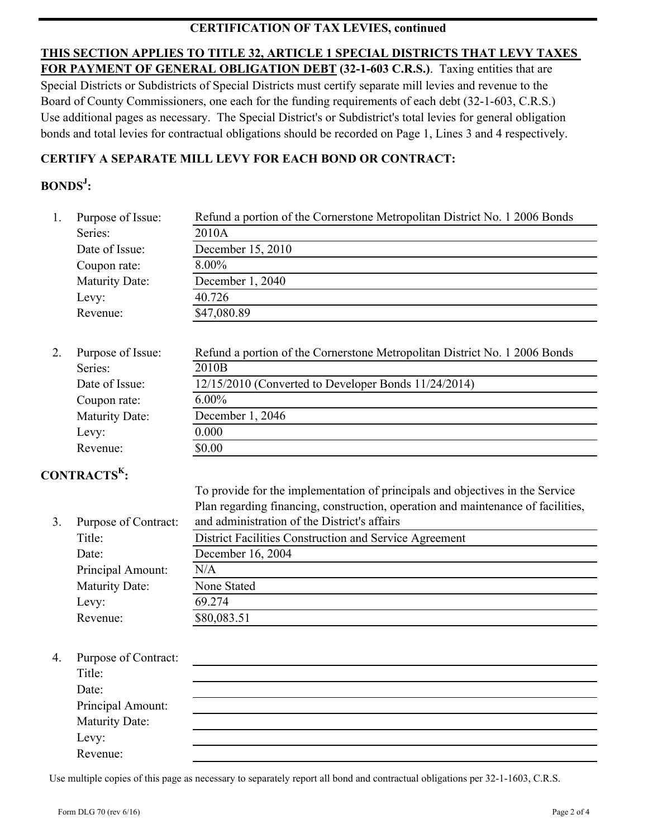### **CERTIFICATION OF TAX LEVIES, continued**

**THIS SECTION APPLIES TO TITLE 32, ARTICLE 1 SPECIAL DISTRICTS THAT LEVY TAXES FOR PAYMENT OF GENERAL OBLIGATION DEBT (32-1-603 C.R.S.)**. Taxing entities that are Special Districts or Subdistricts of Special Districts must certify separate mill levies and revenue to the Board of County Commissioners, one each for the funding requirements of each debt (32-1-603, C.R.S.) Use additional pages as necessary. The Special District's or Subdistrict's total levies for general obligation bonds and total levies for contractual obligations should be recorded on Page 1, Lines 3 and 4 respectively.

### **CERTIFY A SEPARATE MILL LEVY FOR EACH BOND OR CONTRACT:**

# **BONDSJ :**

| 1. | Purpose of Issue:                                              | Refund a portion of the Cornerstone Metropolitan District No. 1 2006 Bonds                                                                              |
|----|----------------------------------------------------------------|---------------------------------------------------------------------------------------------------------------------------------------------------------|
|    | Series:                                                        | 2010A                                                                                                                                                   |
|    | Date of Issue:                                                 | December 15, 2010                                                                                                                                       |
|    | Coupon rate:                                                   | 8.00%                                                                                                                                                   |
|    | <b>Maturity Date:</b>                                          | December 1, 2040                                                                                                                                        |
|    | Levy:                                                          | 40.726                                                                                                                                                  |
|    | Revenue:                                                       | \$47,080.89                                                                                                                                             |
| 2. | Purpose of Issue:<br>Series:<br>Date of Issue:<br>Coupon rate: | Refund a portion of the Cornerstone Metropolitan District No. 1 2006 Bonds<br>2010B<br>12/15/2010 (Converted to Developer Bonds 11/24/2014)<br>$6.00\%$ |
|    | <b>Maturity Date:</b>                                          | December 1, 2046                                                                                                                                        |
|    | Levy:                                                          | 0.000                                                                                                                                                   |
|    | Revenue:                                                       | \$0.00                                                                                                                                                  |
|    | CONTRACTS <sup>K</sup> :                                       | To provide for the implementation of principals and objectives in the Service                                                                           |

n troot: Plan regarding financing, construction, operation and maintenance of facilities, and administration of the District's affairs

| Purpose of Contract.  | and administration of the Districts arians             |
|-----------------------|--------------------------------------------------------|
| Title:                | District Facilities Construction and Service Agreement |
| Date:                 | December 16, 2004                                      |
| Principal Amount:     | N/A                                                    |
| <b>Maturity Date:</b> | None Stated                                            |
| Levy:                 | 69.274                                                 |
| Revenue:              | \$80,083.51                                            |

### 4. Purpose of Contract:

| Title:            |  |  |
|-------------------|--|--|
| Date:             |  |  |
| Principal Amount: |  |  |
| Maturity Date:    |  |  |
|                   |  |  |
| Levy:<br>Revenue: |  |  |
|                   |  |  |

Use multiple copies of this page as necessary to separately report all bond and contractual obligations per 32-1-1603, C.R.S.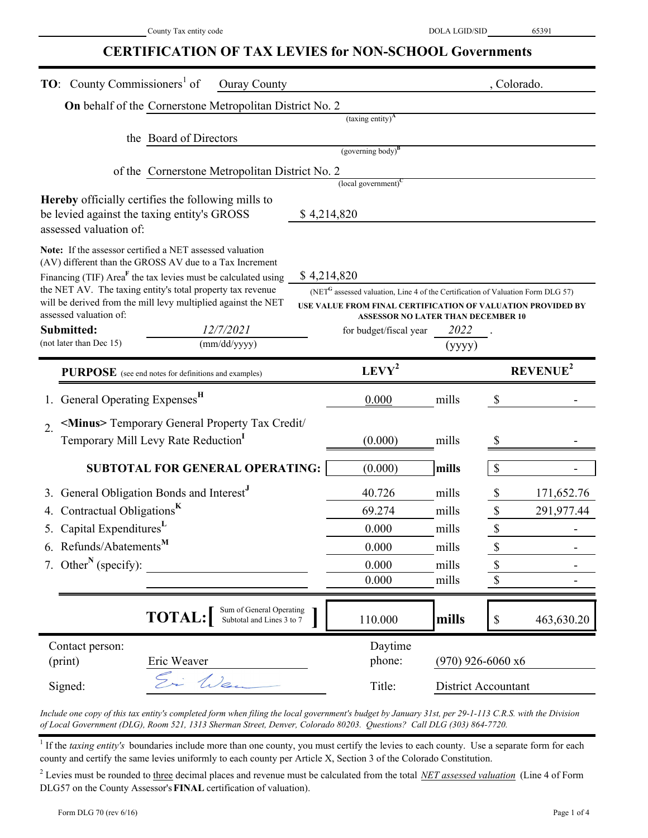### **CERTIFICATION OF TAX LEVIES for NON-SCHOOL Governments**

| <b>TO:</b> County Commissioners <sup>1</sup> of<br><b>Ouray County</b>                                                                                                                                                                                                                                                                                                                                                          |  |                                                                                                                                                                                                                                                  |                            |                                                                       | , Colorado.          |
|---------------------------------------------------------------------------------------------------------------------------------------------------------------------------------------------------------------------------------------------------------------------------------------------------------------------------------------------------------------------------------------------------------------------------------|--|--------------------------------------------------------------------------------------------------------------------------------------------------------------------------------------------------------------------------------------------------|----------------------------|-----------------------------------------------------------------------|----------------------|
| On behalf of the Cornerstone Metropolitan District No. 2                                                                                                                                                                                                                                                                                                                                                                        |  |                                                                                                                                                                                                                                                  |                            |                                                                       |                      |
|                                                                                                                                                                                                                                                                                                                                                                                                                                 |  | (taxing entity) <sup>A</sup>                                                                                                                                                                                                                     |                            |                                                                       |                      |
| the Board of Directors                                                                                                                                                                                                                                                                                                                                                                                                          |  |                                                                                                                                                                                                                                                  |                            |                                                                       |                      |
|                                                                                                                                                                                                                                                                                                                                                                                                                                 |  | $(governing body)^B$                                                                                                                                                                                                                             |                            |                                                                       |                      |
| of the Cornerstone Metropolitan District No. 2                                                                                                                                                                                                                                                                                                                                                                                  |  | $\left($ local government $\right)^C$                                                                                                                                                                                                            |                            |                                                                       |                      |
| Hereby officially certifies the following mills to<br>be levied against the taxing entity's GROSS<br>assessed valuation of:                                                                                                                                                                                                                                                                                                     |  | \$4,214,820                                                                                                                                                                                                                                      |                            |                                                                       |                      |
| Note: If the assessor certified a NET assessed valuation<br>(AV) different than the GROSS AV due to a Tax Increment<br>Financing (TIF) Area <sup>F</sup> the tax levies must be calculated using<br>the NET AV. The taxing entity's total property tax revenue<br>will be derived from the mill levy multiplied against the NET<br>assessed valuation of:<br>Submitted:<br>12/7/2021<br>(not later than Dec 15)<br>(mm/dd/yyyy) |  | \$4,214,820<br>(NET <sup>G</sup> assessed valuation, Line 4 of the Certification of Valuation Form DLG 57)<br>USE VALUE FROM FINAL CERTIFICATION OF VALUATION PROVIDED BY<br><b>ASSESSOR NO LATER THAN DECEMBER 10</b><br>for budget/fiscal year | 2022<br>(yyyy)             |                                                                       |                      |
| <b>PURPOSE</b> (see end notes for definitions and examples)                                                                                                                                                                                                                                                                                                                                                                     |  | $LEVY^2$                                                                                                                                                                                                                                         |                            |                                                                       | REVENUE <sup>2</sup> |
| General Operating Expenses <sup>H</sup>                                                                                                                                                                                                                                                                                                                                                                                         |  | 0.000                                                                                                                                                                                                                                            | mills                      | $\boldsymbol{\mathsf{S}}$                                             |                      |
| <minus> Temporary General Property Tax Credit/<br/><math>\mathcal{D}_{\alpha}</math></minus>                                                                                                                                                                                                                                                                                                                                    |  |                                                                                                                                                                                                                                                  |                            |                                                                       |                      |
| Temporary Mill Levy Rate Reduction <sup>1</sup>                                                                                                                                                                                                                                                                                                                                                                                 |  | (0.000)                                                                                                                                                                                                                                          | mills                      | \$                                                                    |                      |
| SUBTOTAL FOR GENERAL OPERATING:                                                                                                                                                                                                                                                                                                                                                                                                 |  | (0.000)                                                                                                                                                                                                                                          | mills                      | $\mathcal{S}$                                                         |                      |
| 3. General Obligation Bonds and Interest <sup>J</sup>                                                                                                                                                                                                                                                                                                                                                                           |  | 40.726                                                                                                                                                                                                                                           | mills                      | \$                                                                    | 171,652.76           |
| Contractual Obligations <sup>K</sup>                                                                                                                                                                                                                                                                                                                                                                                            |  | 69.274                                                                                                                                                                                                                                           | mills                      | $\mathbb{S}% _{t}\left( t\right) \equiv\mathbb{S}_{t}\left( t\right)$ | 291,977.44           |
| 5. Capital Expenditures <sup>L</sup>                                                                                                                                                                                                                                                                                                                                                                                            |  | 0.000                                                                                                                                                                                                                                            | mills                      | \$                                                                    |                      |
| 6. Refunds/Abatements <sup>M</sup>                                                                                                                                                                                                                                                                                                                                                                                              |  | 0.000                                                                                                                                                                                                                                            | mills                      | \$                                                                    |                      |
| 7. Other <sup>N</sup> (specify):                                                                                                                                                                                                                                                                                                                                                                                                |  | 0.000                                                                                                                                                                                                                                            | mills                      | \$                                                                    |                      |
|                                                                                                                                                                                                                                                                                                                                                                                                                                 |  | 0.000                                                                                                                                                                                                                                            | mills                      | \$                                                                    |                      |
| Sum of General Operating<br><b>TOTAL:</b><br>Subtotal and Lines 3 to 7                                                                                                                                                                                                                                                                                                                                                          |  | 110.000                                                                                                                                                                                                                                          | mills                      | $\$$                                                                  | 463,630.20           |
| Contact person:<br>(print)<br>Eric Weaver                                                                                                                                                                                                                                                                                                                                                                                       |  | Daytime<br>phone:                                                                                                                                                                                                                                | $(970)$ 926-6060 x6        |                                                                       |                      |
| i Wan<br>Signed:                                                                                                                                                                                                                                                                                                                                                                                                                |  | Title:                                                                                                                                                                                                                                           | <b>District Accountant</b> |                                                                       |                      |

*Include one copy of this tax entity's completed form when filing the local government's budget by January 31st, per 29-1-113 C.R.S. with the Division of Local Government (DLG), Room 521, 1313 Sherman Street, Denver, Colorado 80203. Questions? Call DLG (303) 864-7720.*

<sup>1</sup> If the *taxing entity's* boundaries include more than one county, you must certify the levies to each county. Use a separate form for each county and certify the same levies uniformly to each county per Article X, Section 3 of the Colorado Constitution.

<sup>2</sup> Levies must be rounded to three decimal places and revenue must be calculated from the total *NET assessed valuation* (Line 4 of Form DLG57 on the County Assessor's **FINAL** certification of valuation).